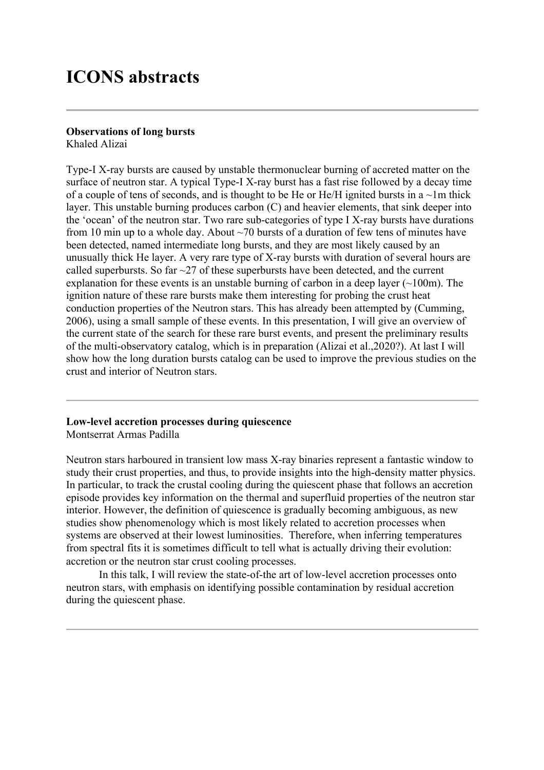# **ICONS abstracts**

#### **Observations of long bursts**

Khaled Alizai

Type-I X-ray bursts are caused by unstable thermonuclear burning of accreted matter on the surface of neutron star. A typical Type-I X-ray burst has a fast rise followed by a decay time of a couple of tens of seconds, and is thought to be He or He/H ignited bursts in a  $\sim$ 1m thick layer. This unstable burning produces carbon (C) and heavier elements, that sink deeper into the 'ocean' of the neutron star. Two rare sub-categories of type I X-ray bursts have durations from 10 min up to a whole day. About  $\sim$  70 bursts of a duration of few tens of minutes have been detected, named intermediate long bursts, and they are most likely caused by an unusually thick He layer. A very rare type of X-ray bursts with duration of several hours are called superbursts. So far  $\sim$ 27 of these superbursts have been detected, and the current explanation for these events is an unstable burning of carbon in a deep layer  $(\sim 100 \text{m})$ . The ignition nature of these rare bursts make them interesting for probing the crust heat conduction properties of the Neutron stars. This has already been attempted by (Cumming, 2006), using a small sample of these events. In this presentation, I will give an overview of the current state of the search for these rare burst events, and present the preliminary results of the multi-observatory catalog, which is in preparation (Alizai et al.,2020?). At last I will show how the long duration bursts catalog can be used to improve the previous studies on the crust and interior of Neutron stars.

#### **Low-level accretion processes during quiescence**

Montserrat Armas Padilla

Neutron stars harboured in transient low mass X-ray binaries represent a fantastic window to study their crust properties, and thus, to provide insights into the high-density matter physics. In particular, to track the crustal cooling during the quiescent phase that follows an accretion episode provides key information on the thermal and superfluid properties of the neutron star interior. However, the definition of quiescence is gradually becoming ambiguous, as new studies show phenomenology which is most likely related to accretion processes when systems are observed at their lowest luminosities. Therefore, when inferring temperatures from spectral fits it is sometimes difficult to tell what is actually driving their evolution: accretion or the neutron star crust cooling processes.

In this talk, I will review the state-of-the art of low-level accretion processes onto neutron stars, with emphasis on identifying possible contamination by residual accretion during the quiescent phase.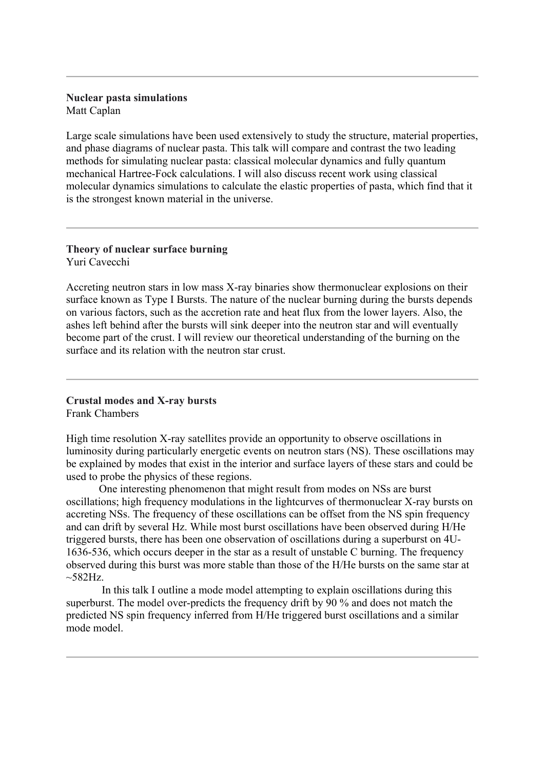#### **Nuclear pasta simulations** Matt Caplan

Large scale simulations have been used extensively to study the structure, material properties, and phase diagrams of nuclear pasta. This talk will compare and contrast the two leading methods for simulating nuclear pasta: classical molecular dynamics and fully quantum mechanical Hartree-Fock calculations. I will also discuss recent work using classical molecular dynamics simulations to calculate the elastic properties of pasta, which find that it is the strongest known material in the universe.

#### **Theory of nuclear surface burning** Yuri Cavecchi

Accreting neutron stars in low mass X-ray binaries show thermonuclear explosions on their surface known as Type I Bursts. The nature of the nuclear burning during the bursts depends on various factors, such as the accretion rate and heat flux from the lower layers. Also, the ashes left behind after the bursts will sink deeper into the neutron star and will eventually become part of the crust. I will review our theoretical understanding of the burning on the surface and its relation with the neutron star crust.

#### **Crustal modes and X-ray bursts** Frank Chambers

High time resolution X-ray satellites provide an opportunity to observe oscillations in luminosity during particularly energetic events on neutron stars (NS). These oscillations may be explained by modes that exist in the interior and surface layers of these stars and could be used to probe the physics of these regions.

One interesting phenomenon that might result from modes on NSs are burst oscillations; high frequency modulations in the lightcurves of thermonuclear X-ray bursts on accreting NSs. The frequency of these oscillations can be offset from the NS spin frequency and can drift by several Hz. While most burst oscillations have been observed during H/He triggered bursts, there has been one observation of oscillations during a superburst on 4U-1636-536, which occurs deeper in the star as a result of unstable C burning. The frequency observed during this burst was more stable than those of the H/He bursts on the same star at  $\sim$ 582Hz.

In this talk I outline a mode model attempting to explain oscillations during this superburst. The model over-predicts the frequency drift by 90 % and does not match the predicted NS spin frequency inferred from H/He triggered burst oscillations and a similar mode model.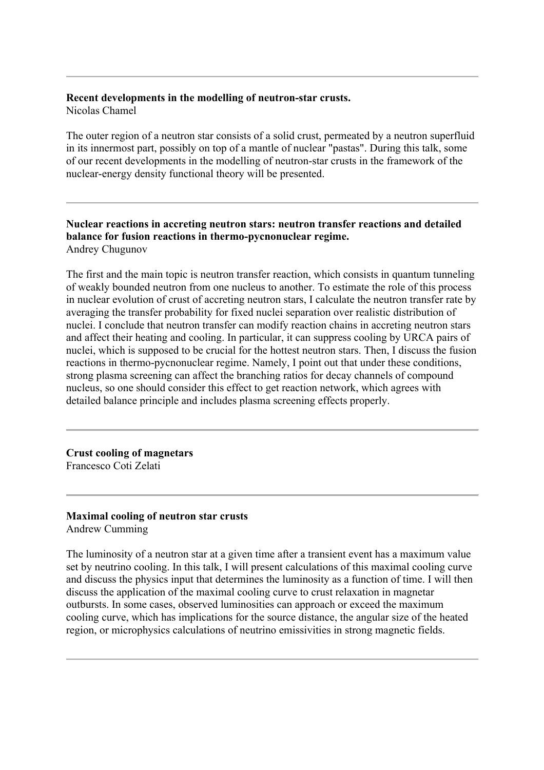# **Recent developments in the modelling of neutron-star crusts.**

Nicolas Chamel

The outer region of a neutron star consists of a solid crust, permeated by a neutron superfluid in its innermost part, possibly on top of a mantle of nuclear "pastas". During this talk, some of our recent developments in the modelling of neutron-star crusts in the framework of the nuclear-energy density functional theory will be presented.

#### **Nuclear reactions in accreting neutron stars: neutron transfer reactions and detailed balance for fusion reactions in thermo-pycnonuclear regime.**  Andrey Chugunov

The first and the main topic is neutron transfer reaction, which consists in quantum tunneling of weakly bounded neutron from one nucleus to another. To estimate the role of this process in nuclear evolution of crust of accreting neutron stars, I calculate the neutron transfer rate by averaging the transfer probability for fixed nuclei separation over realistic distribution of nuclei. I conclude that neutron transfer can modify reaction chains in accreting neutron stars and affect their heating and cooling. In particular, it can suppress cooling by URCA pairs of nuclei, which is supposed to be crucial for the hottest neutron stars. Then, I discuss the fusion reactions in thermo-pycnonuclear regime. Namely, I point out that under these conditions, strong plasma screening can affect the branching ratios for decay channels of compound nucleus, so one should consider this effect to get reaction network, which agrees with detailed balance principle and includes plasma screening effects properly.

**Crust cooling of magnetars** Francesco Coti Zelati

# **Maximal cooling of neutron star crusts**

Andrew Cumming

The luminosity of a neutron star at a given time after a transient event has a maximum value set by neutrino cooling. In this talk, I will present calculations of this maximal cooling curve and discuss the physics input that determines the luminosity as a function of time. I will then discuss the application of the maximal cooling curve to crust relaxation in magnetar outbursts. In some cases, observed luminosities can approach or exceed the maximum cooling curve, which has implications for the source distance, the angular size of the heated region, or microphysics calculations of neutrino emissivities in strong magnetic fields.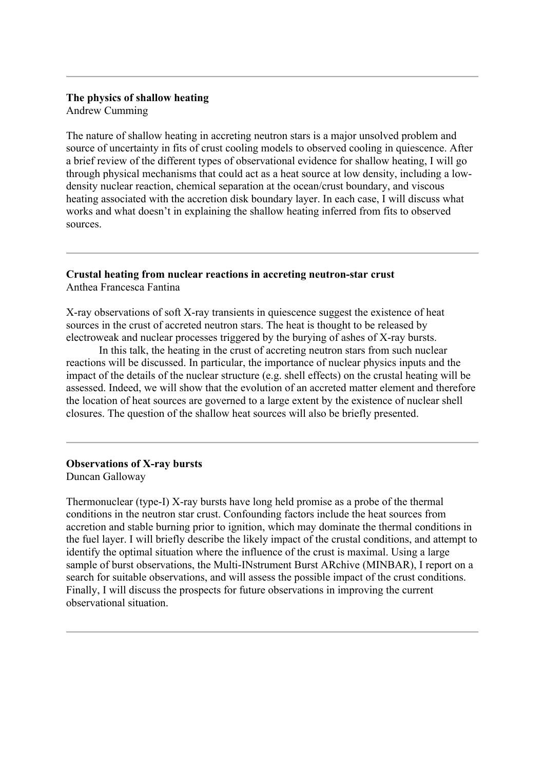### **The physics of shallow heating**

Andrew Cumming

The nature of shallow heating in accreting neutron stars is a major unsolved problem and source of uncertainty in fits of crust cooling models to observed cooling in quiescence. After a brief review of the different types of observational evidence for shallow heating, I will go through physical mechanisms that could act as a heat source at low density, including a lowdensity nuclear reaction, chemical separation at the ocean/crust boundary, and viscous heating associated with the accretion disk boundary layer. In each case, I will discuss what works and what doesn't in explaining the shallow heating inferred from fits to observed sources.

### **Crustal heating from nuclear reactions in accreting neutron-star crust** Anthea Francesca Fantina

X-ray observations of soft X-ray transients in quiescence suggest the existence of heat sources in the crust of accreted neutron stars. The heat is thought to be released by electroweak and nuclear processes triggered by the burying of ashes of X-ray bursts.

In this talk, the heating in the crust of accreting neutron stars from such nuclear reactions will be discussed. In particular, the importance of nuclear physics inputs and the impact of the details of the nuclear structure (e.g. shell effects) on the crustal heating will be assessed. Indeed, we will show that the evolution of an accreted matter element and therefore the location of heat sources are governed to a large extent by the existence of nuclear shell closures. The question of the shallow heat sources will also be briefly presented.

#### **Observations of X-ray bursts** Duncan Galloway

Thermonuclear (type-I) X-ray bursts have long held promise as a probe of the thermal conditions in the neutron star crust. Confounding factors include the heat sources from accretion and stable burning prior to ignition, which may dominate the thermal conditions in the fuel layer. I will briefly describe the likely impact of the crustal conditions, and attempt to identify the optimal situation where the influence of the crust is maximal. Using a large sample of burst observations, the Multi-INstrument Burst ARchive (MINBAR), I report on a search for suitable observations, and will assess the possible impact of the crust conditions. Finally, I will discuss the prospects for future observations in improving the current observational situation.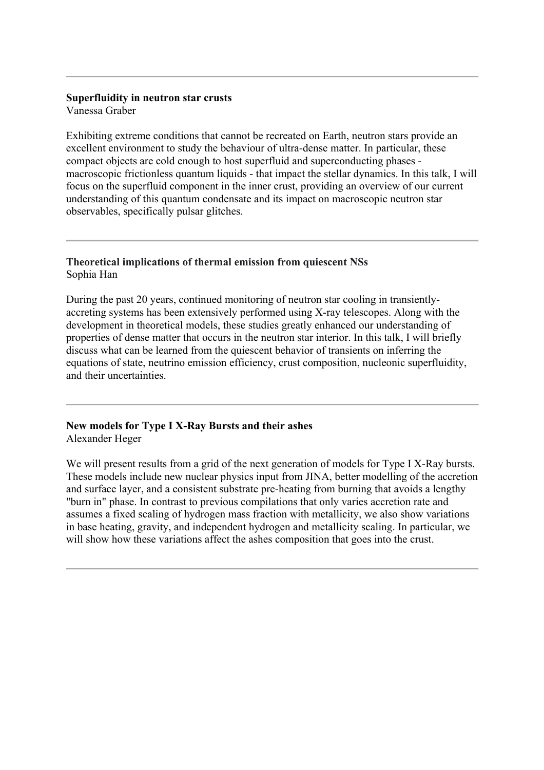# **Superfluidity in neutron star crusts**

Vanessa Graber

Exhibiting extreme conditions that cannot be recreated on Earth, neutron stars provide an excellent environment to study the behaviour of ultra-dense matter. In particular, these compact objects are cold enough to host superfluid and superconducting phases macroscopic frictionless quantum liquids - that impact the stellar dynamics. In this talk, I will focus on the superfluid component in the inner crust, providing an overview of our current understanding of this quantum condensate and its impact on macroscopic neutron star observables, specifically pulsar glitches.

# **Theoretical implications of thermal emission from quiescent NSs** Sophia Han

During the past 20 years, continued monitoring of neutron star cooling in transientlyaccreting systems has been extensively performed using X-ray telescopes. Along with the development in theoretical models, these studies greatly enhanced our understanding of properties of dense matter that occurs in the neutron star interior. In this talk, I will briefly discuss what can be learned from the quiescent behavior of transients on inferring the equations of state, neutrino emission efficiency, crust composition, nucleonic superfluidity, and their uncertainties.

#### **New models for Type I X-Ray Bursts and their ashes** Alexander Heger

We will present results from a grid of the next generation of models for Type I X-Ray bursts. These models include new nuclear physics input from JINA, better modelling of the accretion and surface layer, and a consistent substrate pre-heating from burning that avoids a lengthy "burn in" phase. In contrast to previous compilations that only varies accretion rate and assumes a fixed scaling of hydrogen mass fraction with metallicity, we also show variations in base heating, gravity, and independent hydrogen and metallicity scaling. In particular, we

will show how these variations affect the ashes composition that goes into the crust.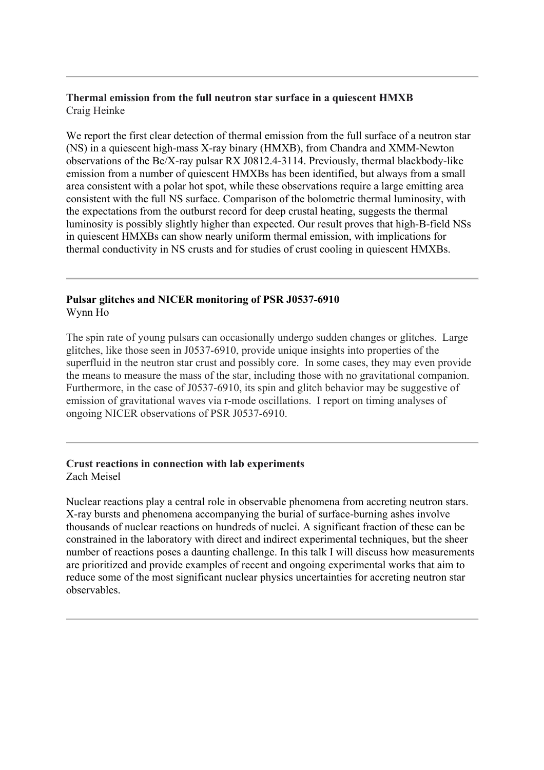## **Thermal emission from the full neutron star surface in a quiescent HMXB** Craig Heinke

We report the first clear detection of thermal emission from the full surface of a neutron star (NS) in a quiescent high-mass X-ray binary (HMXB), from Chandra and XMM-Newton observations of the Be/X-ray pulsar RX J0812.4-3114. Previously, thermal blackbody-like emission from a number of quiescent HMXBs has been identified, but always from a small area consistent with a polar hot spot, while these observations require a large emitting area consistent with the full NS surface. Comparison of the bolometric thermal luminosity, with the expectations from the outburst record for deep crustal heating, suggests the thermal luminosity is possibly slightly higher than expected. Our result proves that high-B-field NSs in quiescent HMXBs can show nearly uniform thermal emission, with implications for thermal conductivity in NS crusts and for studies of crust cooling in quiescent HMXBs.

## **Pulsar glitches and NICER monitoring of PSR J0537-6910** Wynn Ho

The spin rate of young pulsars can occasionally undergo sudden changes or glitches. Large glitches, like those seen in J0537-6910, provide unique insights into properties of the superfluid in the neutron star crust and possibly core. In some cases, they may even provide the means to measure the mass of the star, including those with no gravitational companion. Furthermore, in the case of J0537-6910, its spin and glitch behavior may be suggestive of emission of gravitational waves via r-mode oscillations. I report on timing analyses of ongoing NICER observations of PSR J0537-6910.

## **Crust reactions in connection with lab experiments** Zach Meisel

Nuclear reactions play a central role in observable phenomena from accreting neutron stars. X-ray bursts and phenomena accompanying the burial of surface-burning ashes involve thousands of nuclear reactions on hundreds of nuclei. A significant fraction of these can be constrained in the laboratory with direct and indirect experimental techniques, but the sheer number of reactions poses a daunting challenge. In this talk I will discuss how measurements are prioritized and provide examples of recent and ongoing experimental works that aim to reduce some of the most significant nuclear physics uncertainties for accreting neutron star observables.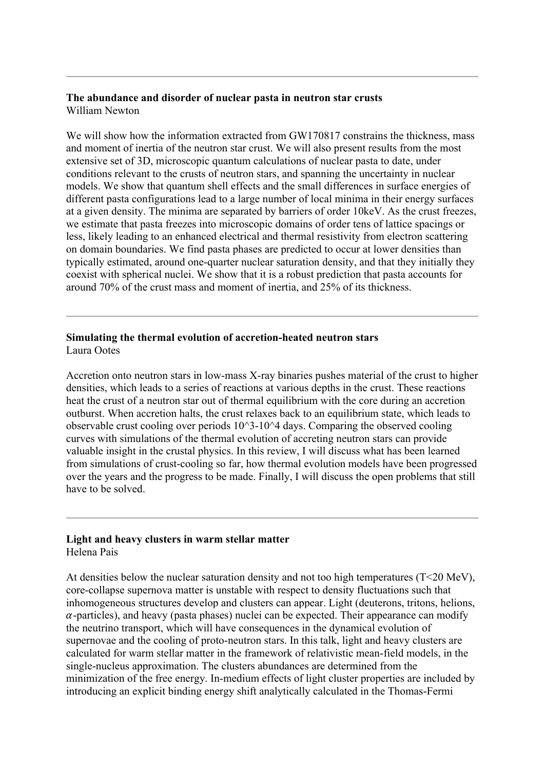#### **The abundance and disorder of nuclear pasta in neutron star crusts** William Newton

We will show how the information extracted from GW170817 constrains the thickness, mass and moment of inertia of the neutron star crust. We will also present results from the most extensive set of 3D, microscopic quantum calculations of nuclear pasta to date, under conditions relevant to the crusts of neutron stars, and spanning the uncertainty in nuclear models. We show that quantum shell effects and the small differences in surface energies of different pasta configurations lead to a large number of local minima in their energy surfaces at a given density. The minima are separated by barriers of order 10keV. As the crust freezes, we estimate that pasta freezes into microscopic domains of order tens of lattice spacings or less, likely leading to an enhanced electrical and thermal resistivity from electron scattering on domain boundaries. We find pasta phases are predicted to occur at lower densities than typically estimated, around one-quarter nuclear saturation density, and that they initially they coexist with spherical nuclei. We show that it is a robust prediction that pasta accounts for around 70% of the crust mass and moment of inertia, and 25% of its thickness.

### **Simulating the thermal evolution of accretion-heated neutron stars** Laura Ootes

Accretion onto neutron stars in low-mass X-ray binaries pushes material of the crust to higher densities, which leads to a series of reactions at various depths in the crust. These reactions heat the crust of a neutron star out of thermal equilibrium with the core during an accretion outburst. When accretion halts, the crust relaxes back to an equilibrium state, which leads to observable crust cooling over periods  $10^3-10^4$  days. Comparing the observed cooling curves with simulations of the thermal evolution of accreting neutron stars can provide valuable insight in the crustal physics. In this review, I will discuss what has been learned from simulations of crust-cooling so far, how thermal evolution models have been progressed over the years and the progress to be made. Finally, I will discuss the open problems that still have to be solved.

#### **Light and heavy clusters in warm stellar matter** Helena Pais

At densities below the nuclear saturation density and not too high temperatures (T<20 MeV), core-collapse supernova matter is unstable with respect to density fluctuations such that inhomogeneous structures develop and clusters can appear. Light (deuterons, tritons, helions,  $\alpha$ -particles), and heavy (pasta phases) nuclei can be expected. Their appearance can modify the neutrino transport, which will have consequences in the dynamical evolution of supernovae and the cooling of proto-neutron stars. In this talk, light and heavy clusters are calculated for warm stellar matter in the framework of relativistic mean-field models, in the single-nucleus approximation. The clusters abundances are determined from the minimization of the free energy. In-medium effects of light cluster properties are included by introducing an explicit binding energy shift analytically calculated in the Thomas-Fermi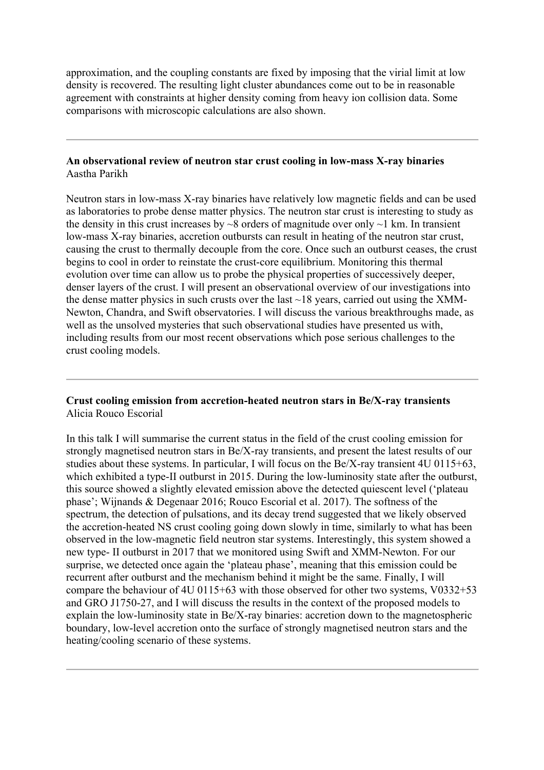approximation, and the coupling constants are fixed by imposing that the virial limit at low density is recovered. The resulting light cluster abundances come out to be in reasonable agreement with constraints at higher density coming from heavy ion collision data. Some comparisons with microscopic calculations are also shown.

#### **An observational review of neutron star crust cooling in low-mass X-ray binaries** Aastha Parikh

Neutron stars in low-mass X-ray binaries have relatively low magnetic fields and can be used as laboratories to probe dense matter physics. The neutron star crust is interesting to study as the density in this crust increases by  $\sim$ 8 orders of magnitude over only  $\sim$ 1 km. In transient low-mass X-ray binaries, accretion outbursts can result in heating of the neutron star crust, causing the crust to thermally decouple from the core. Once such an outburst ceases, the crust begins to cool in order to reinstate the crust-core equilibrium. Monitoring this thermal evolution over time can allow us to probe the physical properties of successively deeper, denser layers of the crust. I will present an observational overview of our investigations into the dense matter physics in such crusts over the last  $\sim$  18 years, carried out using the XMM-Newton, Chandra, and Swift observatories. I will discuss the various breakthroughs made, as well as the unsolved mysteries that such observational studies have presented us with, including results from our most recent observations which pose serious challenges to the crust cooling models.

#### **Crust cooling emission from accretion-heated neutron stars in Be/X-ray transients** Alicia Rouco Escorial

In this talk I will summarise the current status in the field of the crust cooling emission for strongly magnetised neutron stars in Be/X-ray transients, and present the latest results of our studies about these systems. In particular, I will focus on the Be/X-ray transient 4U 0115+63, which exhibited a type-II outburst in 2015. During the low-luminosity state after the outburst, this source showed a slightly elevated emission above the detected quiescent level ('plateau phase'; Wijnands & Degenaar 2016; Rouco Escorial et al. 2017). The softness of the spectrum, the detection of pulsations, and its decay trend suggested that we likely observed the accretion-heated NS crust cooling going down slowly in time, similarly to what has been observed in the low-magnetic field neutron star systems. Interestingly, this system showed a new type- II outburst in 2017 that we monitored using Swift and XMM-Newton. For our surprise, we detected once again the 'plateau phase', meaning that this emission could be recurrent after outburst and the mechanism behind it might be the same. Finally, I will compare the behaviour of 4U 0115+63 with those observed for other two systems, V0332+53 and GRO J1750-27, and I will discuss the results in the context of the proposed models to explain the low-luminosity state in Be/X-ray binaries: accretion down to the magnetospheric boundary, low-level accretion onto the surface of strongly magnetised neutron stars and the heating/cooling scenario of these systems.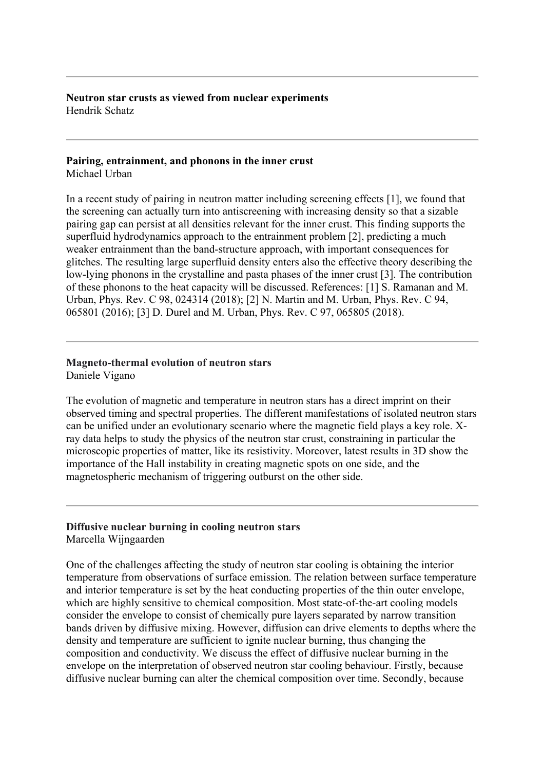**Neutron star crusts as viewed from nuclear experiments** Hendrik Schatz

#### **Pairing, entrainment, and phonons in the inner crust**  Michael Urban

In a recent study of pairing in neutron matter including screening effects [1], we found that the screening can actually turn into antiscreening with increasing density so that a sizable pairing gap can persist at all densities relevant for the inner crust. This finding supports the superfluid hydrodynamics approach to the entrainment problem [2], predicting a much weaker entrainment than the band-structure approach, with important consequences for glitches. The resulting large superfluid density enters also the effective theory describing the low-lying phonons in the crystalline and pasta phases of the inner crust [3]. The contribution of these phonons to the heat capacity will be discussed. References: [1] S. Ramanan and M. Urban, Phys. Rev. C 98, 024314 (2018); [2] N. Martin and M. Urban, Phys. Rev. C 94, 065801 (2016); [3] D. Durel and M. Urban, Phys. Rev. C 97, 065805 (2018).

# **Magneto-thermal evolution of neutron stars**

Daniele Vigano

The evolution of magnetic and temperature in neutron stars has a direct imprint on their observed timing and spectral properties. The different manifestations of isolated neutron stars can be unified under an evolutionary scenario where the magnetic field plays a key role. Xray data helps to study the physics of the neutron star crust, constraining in particular the microscopic properties of matter, like its resistivity. Moreover, latest results in 3D show the importance of the Hall instability in creating magnetic spots on one side, and the magnetospheric mechanism of triggering outburst on the other side.

# **Diffusive nuclear burning in cooling neutron stars**

Marcella Wijngaarden

One of the challenges affecting the study of neutron star cooling is obtaining the interior temperature from observations of surface emission. The relation between surface temperature and interior temperature is set by the heat conducting properties of the thin outer envelope, which are highly sensitive to chemical composition. Most state-of-the-art cooling models consider the envelope to consist of chemically pure layers separated by narrow transition bands driven by diffusive mixing. However, diffusion can drive elements to depths where the density and temperature are sufficient to ignite nuclear burning, thus changing the composition and conductivity. We discuss the effect of diffusive nuclear burning in the envelope on the interpretation of observed neutron star cooling behaviour. Firstly, because diffusive nuclear burning can alter the chemical composition over time. Secondly, because